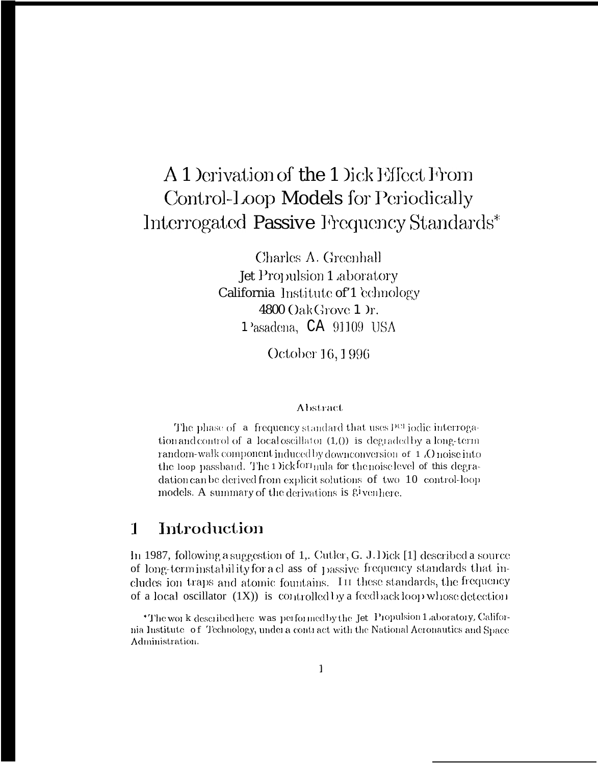# A 1 Derivation of the 1 Dick Effect From Control-Loop Models for Periodically Interrogated Passive Frequency Standards\*

Charles A. Greenhall Jet Propulsion 1 aboratory California Institute of 1 cchnology  $4800$  Oak Grove 1  $r$ . 1<sup>2</sup>asadena, CA 91109 USA

October 16, 1996

### Abstract

The phase of a frequency standard that uses P<sup>er</sup> iodic interrogation and control of  $a$  local oscillator  $(1,0)$  is degraded by a long-term random-walk component induced by downconversion of 1 .O noise into the loop passband. The 1 Dick forthula for the noise level of this degradation can be derived from explicit solutions of two 10 control-loop models. A summary of the derivations is <sup>gi</sup>venhere.

#### Introduction  $\mathbf{1}$

In 1987, following a suggestion of 1,. Cutler, G. J. Dick [1] described a source of long-term instability for a class of passive frequency standards that includes ion traps and atomic fountains. In these standards, the frequency of a local oscillator  $(1X)$  is controlled by a feedback loop whose detection

\*The work described here was performed by the Jet Propulsion 1 aboratory, California Institute of Technology, under a contract with the National Aeronautics and Space Administration.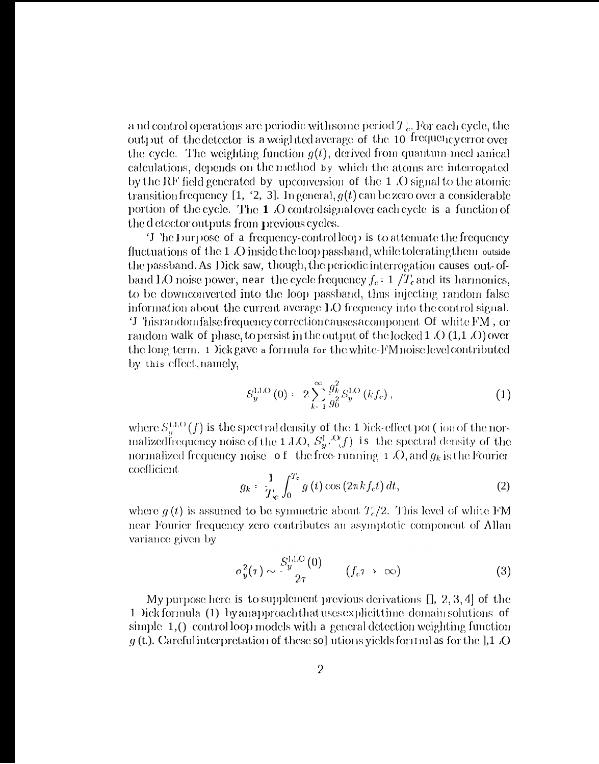a nd control operations are periodic with some period  $T_c$ . For each cycle, the output of the detector is a weighted average of the 10 frequency error over the cycle. The weighting function  $g(t)$ , derived from quantum-mechanical calculations, depends on the method by which the atoms are interrogated by the RF field generated by upconversion of the 1 O signal to the atomic transition frequency [1, '2, 3]. In general,  $g(t)$  can be zero over a considerable portion of the cycle. The 1.0 controlsignal over each cycle is a function of the detector outputs from previous cycles.

T he burpose of a frequency-controlloop is to attenuate the frequency fluctuations of the 1 Q inside the loop passband, while tolerating them outside the passband. As Dick saw, though, the periodic interrogation causes out-ofband LO noise power, near the cycle frequency  $f_c$  = 1  $/T_c$  and its harmonics, to be downconverted into the loop passband, thus injecting random false information about the current average LO frequency into the control signal. 'J 'hisrandomfalse frequency correction causes a component Of white FM, or random walk of phase, to persist in the output of the locked  $1$  (O  $(1,1)$  (O) over the long term. 1 )ick gave a formula for the white-FM noise level contributed by this effect, namely,

$$
S_{y}^{\text{LLO}}(0) = 2 \sum_{k=1}^{\infty} \frac{g_k^2}{g_0^2} S_{y}^{\text{LO}}(kf_c), \qquad (1)
$$

where  $S_y^{\text{LLO}}(f)$  is the spectral density of the 1 Dick-effect por (jon of the nor-<br>malized frequency noise of the 1 LO,  $S_y^{\text{L}}(f)$  is the spectral density of the normalized frequency noise of the free-running  $\pm$  .O, and  $g_k$  is the Fourier coefficient

$$
g_k = \frac{1}{T_c} \int_0^{T_c} g\left(t\right) \cos\left(2\pi k f_c t\right) dt,\tag{2}
$$

where  $g(t)$  is assumed to be symmetric about  $T_c/2$ . This level of white FM near Fourier frequency zero contributes an asymptotic component of Allan variance given by

$$
\sigma_y^2(\tau) \sim \frac{S_y^{\text{LLO}}(0)}{2\tau} \qquad (f_c \tau \to \infty) \tag{3}
$$

My purpose here is to supplement previous derivations  $[1, 2, 3, 4]$  of the 1 Dick formula (1) by an approach that uses explicit time domain solutions of simple  $1$ ,  $\left($  control loop models with a general detection weighting function  $g$  (t.). Careful interpretation of these sol utions yields for the limit as for the 1,1 .0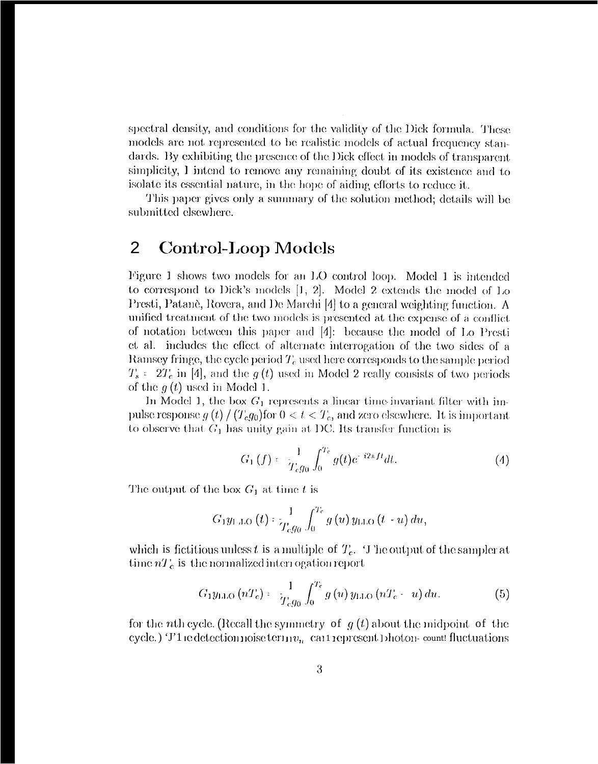spectral density, and conditions for the validity of the Dick formula. These models are not represented to be realistic models of actual frequency standards. By exhibiting the presence of the Dick effect in models of transparent simplicity, I intend to remove any remaining doubt of its existence and to isolate its essential nature, in the hope of aiding efforts to reduce it.

This paper gives only a summary of the solution method; details will be submitted elsewhere.

#### **Control-Loop Models** 2

Figure 1 shows two models for an LO control loop. Model 1 is intended to correspond to Dick's models  $[1, 2]$ . Model 2 extends the model of Lo Presti, Patanè, Rovera, and De Marchi [4] to a general weighting function. A unified treatment of the two models is presented at the expense of a conflict of notation between this paper and [4]: because the model of Lo Presti et al. includes the effect of alternate interrogation of the two sides of a Ramsey fringe, the cycle period  $T_c$  used here corresponds to the sample period  $T_s = 2T_c$  in [4], and the  $g(t)$  used in Model 2 really consists of two periods of the  $q(t)$  used in Model 1.

In Model 1, the box  $G_1$  represents a linear time invariant filter with impulse response  $g(t)/(T_c g_0)$  for  $0 < t < T_c$ , and zero elsewhere. It is important to observe that  $G_1$  has unity gain at DC. Its transfer function is

$$
G_1(f) = \frac{1}{T_c g_0} \int_0^{T_c} g(t) e^{-i2\pi ft} dt.
$$
 (4)

The output of the box  $G_1$  at time t is

$$
G_1y_{1, \text{LO}}(t): \frac{1}{T_{c}g_0}\int_0^{T_c}g(u)\,y_{1, \text{LO}}(t-u)\,du,
$$

which is fictitious unless t is a multiple of  $T_c$ . The output of the sampler at time  $nT_c$  is the normalized interrogation report

$$
G_1 y_{\text{LLO}} (nT_c) = \frac{1}{T_c g_0} \int_0^{T_c} g(u) y_{\text{LLO}} (nT_c - u) du. \tag{5}
$$

for the *n*th cycle. (Recall the symmetry of  $g(t)$  about the midpoint of the cycle.) T1 ie detection noise term  $v_n$  can represent photon-count fluctuations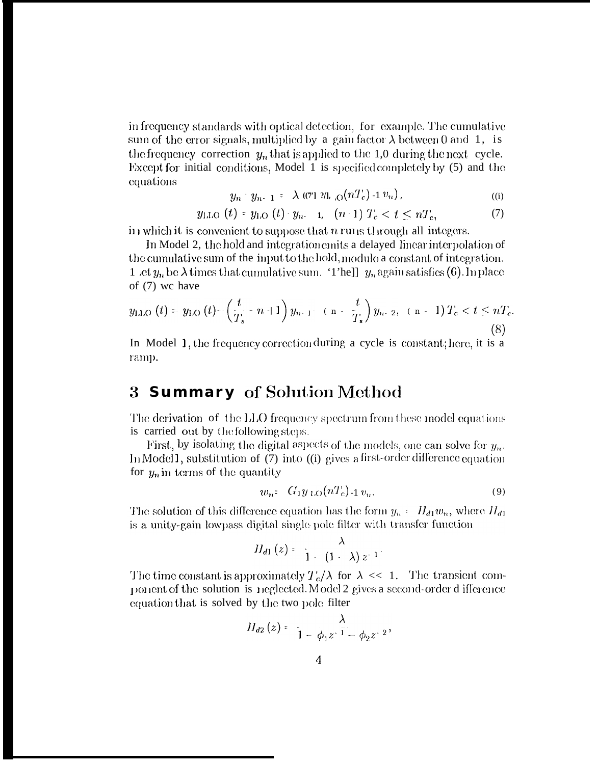in frequency standards with optical detection, for example. The cumulative sum of the error signals, multiplied by a gain factor  $\lambda$  between 0 and 1, is the frequency correction  $y_n$  that is applied to the 1,0 during the next cycle. Except for initial conditions, Model 1 is specified completely by (5) and the equations  $\mathcal{L} = 22.3$ 

$$
y_n \cdot y_{n-1} = \lambda \left( (7)^n \mathcal{U}_{n,0} \right) \left( n T_c \right) - 1 \mathcal{V}_n \right), \tag{i}
$$

$$
y_{\text{LLO}}(t) = y_{\text{LO}}(t) \cdot y_{n-1}, \quad (n-1) \; T_c < t \leq n \; T_c, \tag{7}
$$

in which it is convenient to suppose that  $n$  runs through all integers.

In Model 2, the hold and integration emits a delayed linear interpolation of the cumulative sum of the input to the hold, modulo a constant of integration. 1 .et  $y_n$  be  $\lambda$  times that cumulative sum. '1'he]]  $y_n$  again satisfies (6). In place of  $(7)$  we have

$$
y_{\text{LLO}}(t) = y_{\text{LO}}(t) - \left(\frac{t}{T_s} - n + 1\right)y_{n-1} - \left(n - \frac{t}{T_s}\right)y_{n-2}, \quad (n-1)T_c < t \le nT_c.
$$
\n(8)

In Model 1, the frequency correction during a cycle is constant; here, it is a ramp.

#### **Summary** of Solution Method 3

The derivation of the LLO frequency spectrum from these model equations is carried out by the following steps.

First, by isolating the digital aspects of the models, one can solve for  $y_n$ . In Model 1, substitution of (7) into ((i) gives a first-order difference equation for  $y_n$  in terms of the quantity

$$
w_n: G_1 y_{1,O}(nT_c)_{-1} v_n. \tag{9}
$$

The solution of this difference equation has the form  $y_n = H_{d1}w_n$ , where  $H_{d1}$ is a unity-gain lowpass digital single pole filter with transfer function

$$
H_{d1}(z) = \frac{\lambda}{1-(1-\lambda)z^{-1}}.
$$

The time constant is approximately  $T_c/\lambda$  for  $\lambda \ll 1$ . The transient component of the solution is neglected. Model 2 gives a second-order d ifference equation that is solved by the two pole filter

$$
H_{d2}(z) = \frac{\lambda}{1 - \phi_1 z^{-1} - \phi_2 z^{-2}},
$$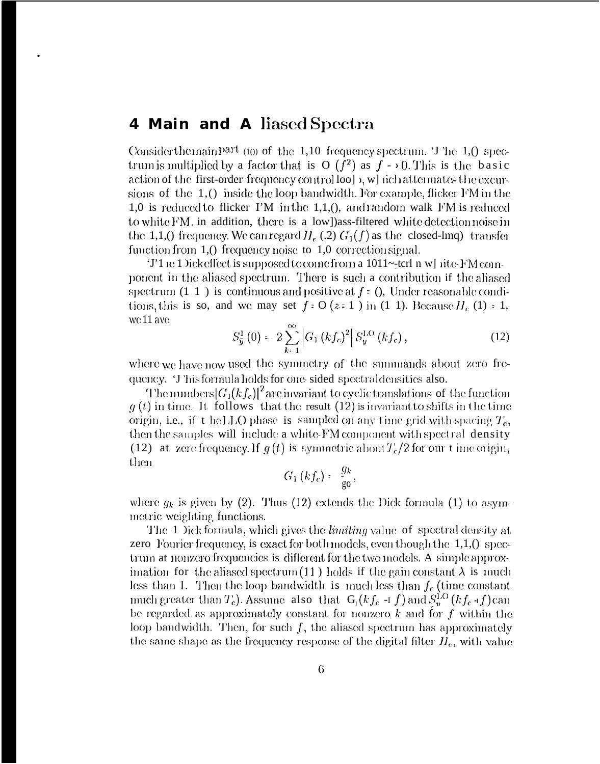## 4 Main and A liased Spectra

Consider the main part  $(10)$  of the 1,10 frequency spectrum. T he 1,0 spectrum is multiplied by a factor that is O  $(f^2)$  as  $f \rightarrow 0$ . This is the basic action of the first-order frequency control lool  $\lambda$ , which attenuates the excursions of the  $1$ , () inside the loop bandwidth. For example, flicker FM in the 1,0 is reduced to flicker  $\Gamma M$  in the 1,1,0, and random walk  $\Gamma M$  is reduced to white FM, in addition, there is a low]) ass-filtered white detection noise in the 1,1,0 frequency. We can regard  $H_e$  (.2)  $G_1(f)$  as the closed-lmq) transfer function from  $1,0$  frequency noise to  $1,0$  correction signal.

'J'1 ie 1 Dick effect is supposed to come from a 1011~-terl n w] rite FM component in the aliased spectrum. There is such a contribution if the aliased spectrum  $(1\ 1\ )$  is continuous and positive at  $f = 0$ , Under reasonable conditions, this is so, and we may set  $f : O(z:1)$  in (1 1). Because  $H<sub>e</sub>$  (1) = 1, we 11 ave

$$
S_{\bar{y}}^{1}(0) = 2 \sum_{k=1}^{\infty} \left| G_{1} \left( k f_{c} \right)^{2} \right| S_{y}^{LO} \left( k f_{c} \right), \qquad (12)
$$

where we have now used the symmetry of the summands about zero frequency. 'J 'his formula holds for one sided spectral densities also.

The numbers  $|G_1(kf_c)|^2$  are invariant to cyclic translations of the function  $g(t)$  in time. It follows that the result (12) is invariant to shifts in the time origin, i.e., if t he LLO phase is sampled on any time grid with spacing  $T_c$ , then the samples will include a white-FM component with spectral density (12) at zero frequency. If  $g(t)$  is symmetric about  $T_c/2$  for our t ime origin, then

$$
G_1(kf_c) = \frac{g_k}{g_0},
$$

where  $g_k$  is given by (2). Thus (12) extends the Dick formula (1) to asymmetric weighting functions.

The 1 lick formula, which gives the *limiting* value of spectral density at zero Fourier frequency, is exact for both models, even though the  $1,1,0$  spectrum at nonzero frequencies is different for the two models. A simple approximation for the aliased spectrum (11) holds if the gain constant  $\lambda$  is much less than 1. Then the loop bandwidth is much less than  $f_c$  (time constant much greater than  $T_c$ ). Assume also that  $G_l(kf_c -1 f)$  and  $S_u^{LO}(kf_c +f)$  can be regarded as approximately constant for nonzero  $k$  and for  $f$  within the loop bandwidth. Then, for such  $f$ , the aliased spectrum has approximately the same shape as the frequency response of the digital filter  $H_e$ , with value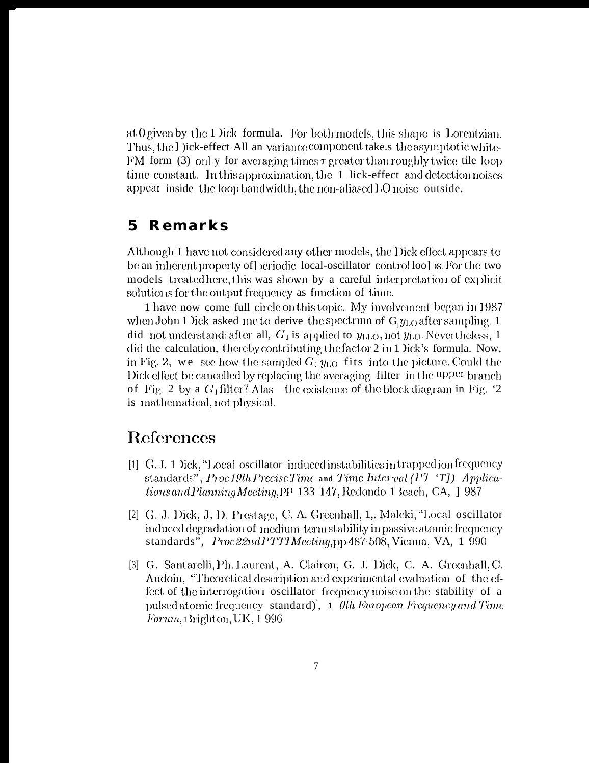at 0 given by the 1 lick formula. For both models, this shape is Lorentzian. Thus, the I jick-effect All an variance component take s the asymptotic white-FM form (3) only for averaging times  $\tau$  greater than roughly twice tile loop time constant. In this approximation, the 1 lick-effect and detection noises appear inside the loop bandwidth, the non-aliased LO noise outside.

#### Remarks  $\mathbf 5$

Although I have not considered any other models, the Dick effect appears to be an inherent property of] seriodic local-oscillator control loo] s. For the two models treated here, this was shown by a careful interpretation of explicit solutions for the output frequency as function of time.

1 have now come full circle on this topic. My involvement began in 1987 when John 1 ) ick asked me to derive the spectrum of  $G_y_{1,0}$  after sampling. 1 did not understand: after all,  $G_1$  is applied to  $y_{\text{LLO}}$ , not  $y_{\text{LO}}$ . Nevertheless, 1 did the calculation, thereby contributing the factor 2 in 1 lick's formula. Now, in Fig. 2, we see how the sampled  $G_1 y_{L,Q}$  fits into the picture. Could the Dick effect be cancelled by replacing the averaging filter in the upper branch of Fig. 2 by a  $G_1$  filter? Alas the existence of the block diagram in Fig. '2 is mathematical, not physical.

## References

- $[1]$  G. J. 1 bick, "Local oscillator induced instabilities in trapped ion frequency standards", Proc 19th Precisc Time and Time Interval  $(PTT)$  Applica*tions and Planning Meeting*, PP 133 147, Redondo 1 3each, CA, 1987
- [2] G. J. Dick, J. D. Prestage, C. A. Greenhall, 1,. Maleki, "Local oscillator" induced degradation of medium-term stability in passive atomic frequency standards", *Proc22ndPTTIMeeting*,pp 487-508, Vienna, VA, 1 990
- [3] G. Santarelli, Ph. Laurent, A. Clairon, G. J. Dick, C. A. Greenhall, C. Audoin, "Theoretical description and experimental evaluation of the effect of the interrogation oscillator frequency noise on the stability of a pulsed atomic frequency standard), 1 Oth European Frequency and Time *Forum*, Brighton, UK, 1996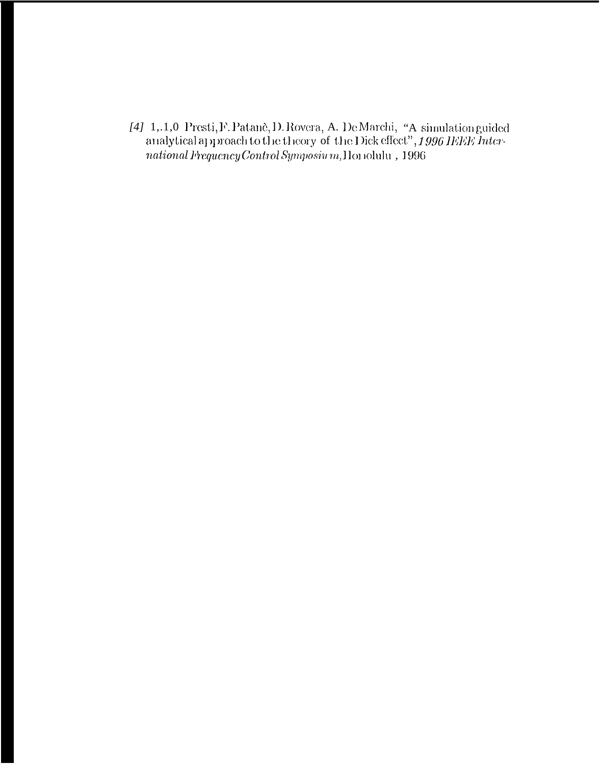[4] 1,.1,0 Presti, F. Patanè, D. Rovera, A. De Marchi, "A simulation guided analytical approach to the theory of the Dick effect", 1996 IEEE International Frequency Control Symposium, Honolulu, 1996